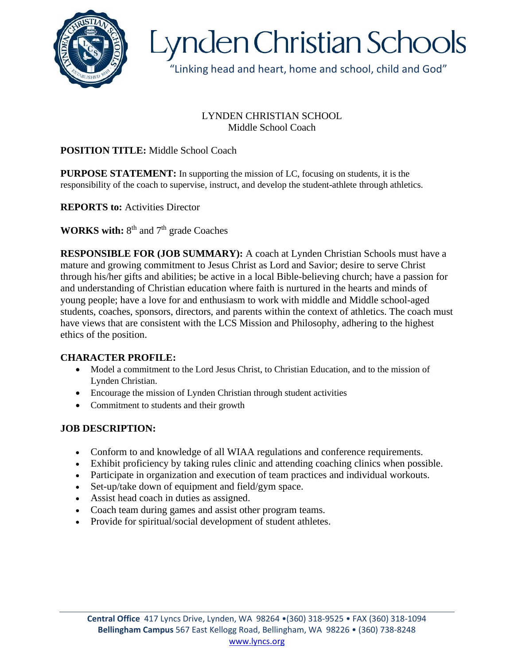

# Lynden Christian Schools

"Linking head and heart, home and school, child and God"

#### LYNDEN CHRISTIAN SCHOOL Middle School Coach

## **POSITION TITLE:** Middle School Coach

**PURPOSE STATEMENT:** In supporting the mission of LC, focusing on students, it is the responsibility of the coach to supervise, instruct, and develop the student-athlete through athletics.

**REPORTS to:** Activities Director

**WORKS with:** 8<sup>th</sup> and 7<sup>th</sup> grade Coaches

**RESPONSIBLE FOR (JOB SUMMARY):** A coach at Lynden Christian Schools must have a mature and growing commitment to Jesus Christ as Lord and Savior; desire to serve Christ through his/her gifts and abilities; be active in a local Bible-believing church; have a passion for and understanding of Christian education where faith is nurtured in the hearts and minds of young people; have a love for and enthusiasm to work with middle and Middle school-aged students, coaches, sponsors, directors, and parents within the context of athletics. The coach must have views that are consistent with the LCS Mission and Philosophy, adhering to the highest ethics of the position.

#### **CHARACTER PROFILE:**

- Model a commitment to the Lord Jesus Christ, to Christian Education, and to the mission of Lynden Christian.
- Encourage the mission of Lynden Christian through student activities
- Commitment to students and their growth

# **JOB DESCRIPTION:**

- Conform to and knowledge of all WIAA regulations and conference requirements.
- Exhibit proficiency by taking rules clinic and attending coaching clinics when possible.
- Participate in organization and execution of team practices and individual workouts.
- Set-up/take down of equipment and field/gym space.
- Assist head coach in duties as assigned.
- Coach team during games and assist other program teams.
- Provide for spiritual/social development of student athletes.